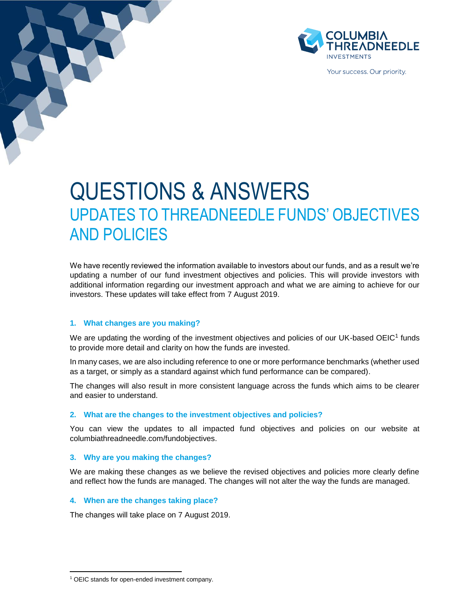

Your success. Our priority.

# QUESTIONS & ANSWERS UPDATES TO THREADNEEDLE FUNDS' OBJECTIVES AND POLICIES

We have recently reviewed the information available to investors about our funds, and as a result we're updating a number of our fund investment objectives and policies. This will provide investors with additional information regarding our investment approach and what we are aiming to achieve for our investors. These updates will take effect from 7 August 2019.

# **1. What changes are you making?**

We are updating the wording of the investment objectives and policies of our UK-based OEIC<sup>1</sup> funds to provide more detail and clarity on how the funds are invested.

In many cases, we are also including reference to one or more performance benchmarks (whether used as a target, or simply as a standard against which fund performance can be compared).

The changes will also result in more consistent language across the funds which aims to be clearer and easier to understand.

# **2. What are the changes to the investment objectives and policies?**

You can view the updates to all impacted fund objectives and policies on our website at columbiathreadneedle.com/fundobjectives.

# **3. Why are you making the changes?**

We are making these changes as we believe the revised objectives and policies more clearly define and reflect how the funds are managed. The changes will not alter the way the funds are managed.

# **4. When are the changes taking place?**

The changes will take place on 7 August 2019.

 $\overline{a}$ <sup>1</sup> OEIC stands for open-ended investment company.